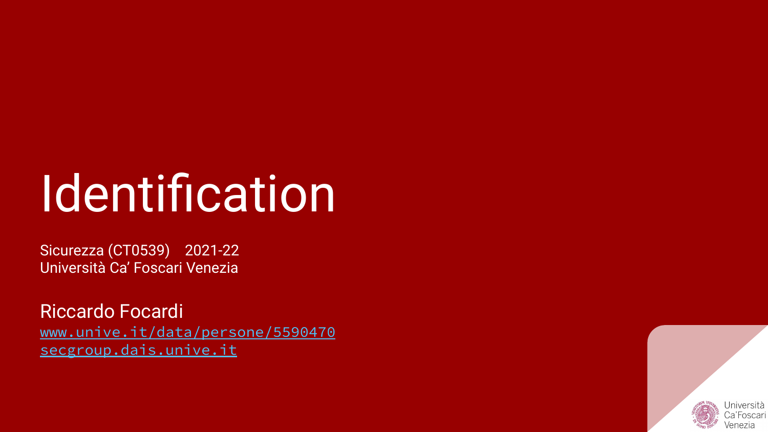# **Identification**

Sicurezza (CT0539) 2021-22 Università Ca' Foscari Venezia

Riccardo Focardi [www.unive.it/data/persone/5590470](https://www.unive.it/data/persone/5590470) [secgroup.dais.unive.it](https://secgroup.dais.unive.it/teaching/security-1/)

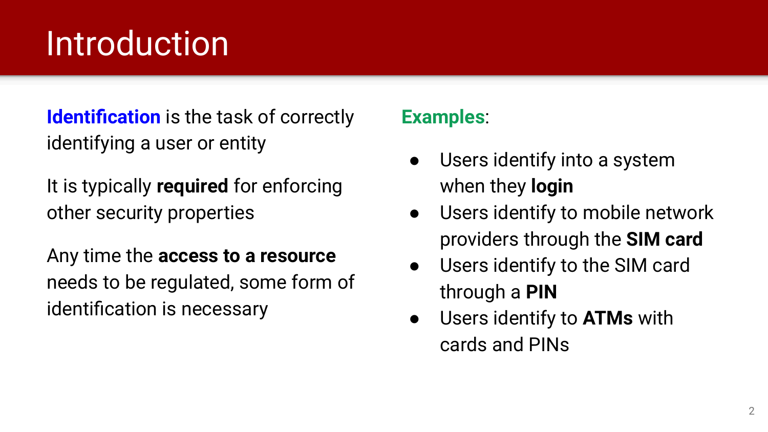#### **Introduction**

**Identification** is the task of correctly identifying a user or entity

It is typically **required** for enforcing other security properties

Any time the **access to a resource** needs to be regulated, some form of identification is necessary

#### **Examples**:

- Users identify into a system when they **login**
- Users identify to mobile network providers through the **SIM card**
- Users identify to the SIM card through a **PIN**
- Users identify to **ATMs** with cards and PINs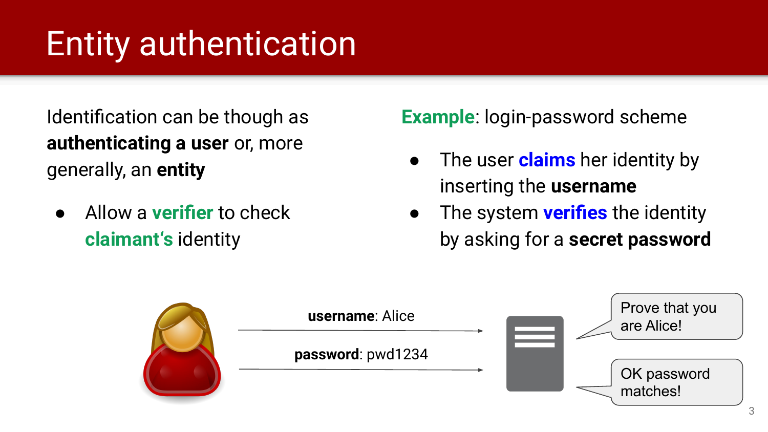#### Entity authentication

Identification can be though as **authenticating a user** or, more generally, an **entity**

● Allow a **verifier** to check **claimant's** identity

**Example**: login-password scheme

- The user **claims** her identity by inserting the **username**
- The system **verifies** the identity by asking for a **secret password**

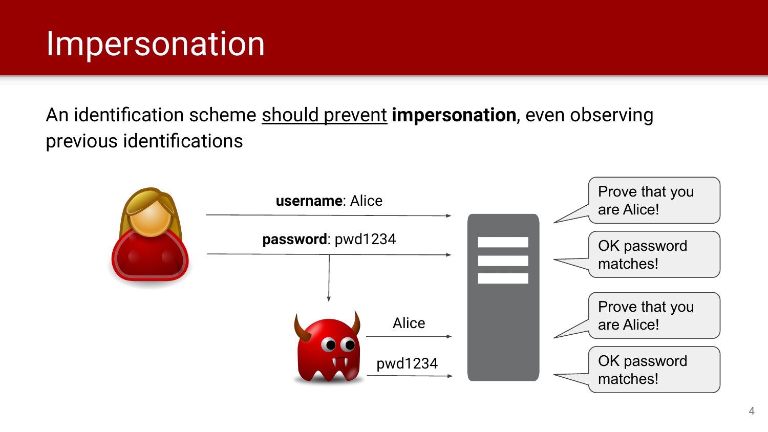#### Impersonation

An identification scheme should prevent **impersonation**, even observing previous identifications

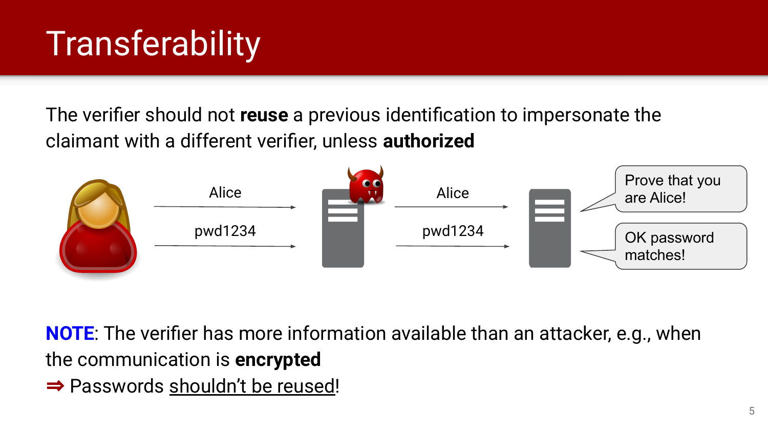### **Transferability**

The verifier should not **reuse** a previous identification to impersonate the claimant with a different verifier, unless **authorized**



**NOTE**: The verifier has more information available than an attacker, e.g., when the communication is **encrypted**

⇒ Passwords shouldn't be reused!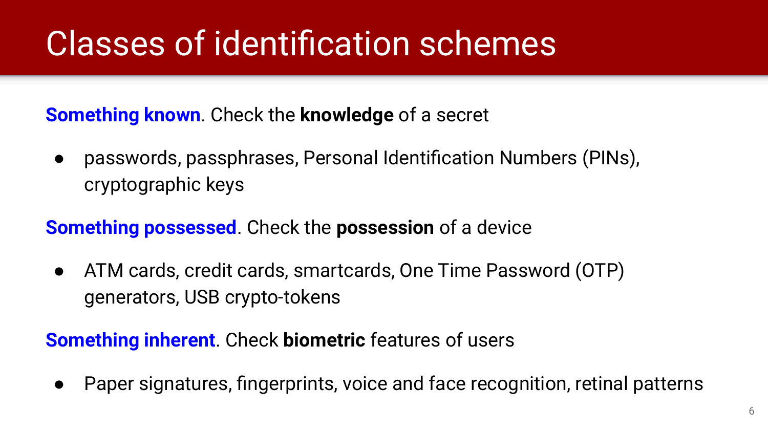#### Classes of identification schemes

**Something known**. Check the **knowledge** of a secret

• passwords, passphrases, Personal Identification Numbers (PINs), cryptographic keys

**Something possessed**. Check the **possession** of a device

● ATM cards, credit cards, smartcards, One Time Password (OTP) generators, USB crypto-tokens

**Something inherent**. Check **biometric** features of users

● Paper signatures, fingerprints, voice and face recognition, retinal patterns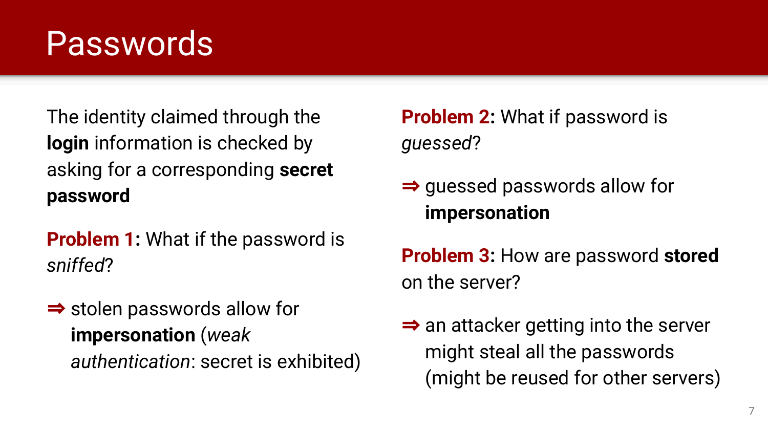#### Passwords

The identity claimed through the **login** information is checked by asking for a corresponding **secret password**

**Problem 1:** What if the password is *sniffed*?

⇒ stolen passwords allow for **impersonation** (*weak authentication*: secret is exhibited) **Problem 2:** What if password is *guessed*?

- ⇒ guessed passwords allow for **impersonation**
- **Problem 3:** How are password **stored** on the server?
- $\Rightarrow$  an attacker getting into the server might steal all the passwords (might be reused for other servers)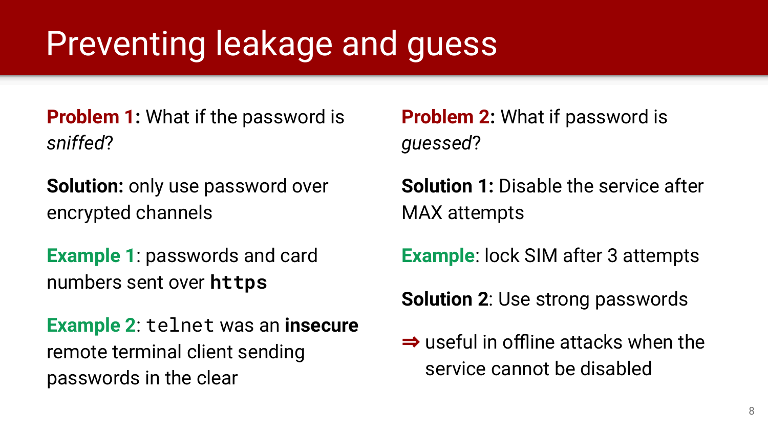#### Preventing leakage and guess

**Problem 1:** What if the password is *sniffed*?

**Solution:** only use password over encrypted channels

**Example 1**: passwords and card numbers sent over **https**

**Example 2**: telnet was an **insecure** remote terminal client sending passwords in the clear

**Problem 2:** What if password is *guessed*?

**Solution 1:** Disable the service after MAX attempts

**Example**: lock SIM after 3 attempts

**Solution 2**: Use strong passwords

⇒ useful in offline attacks when the service cannot be disabled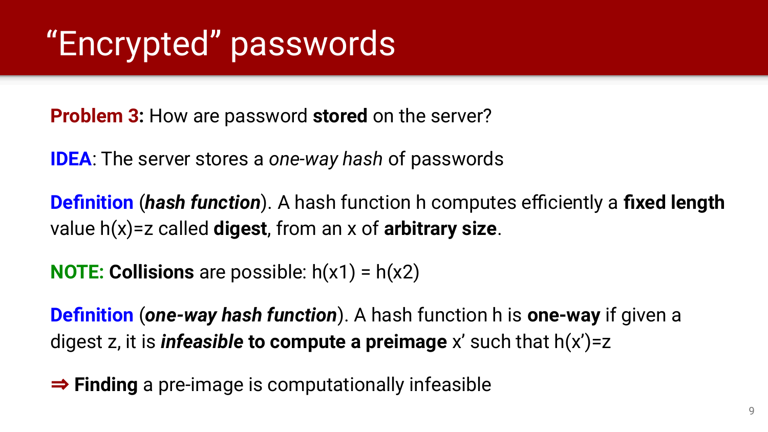### "Encrypted" passwords

**Problem 3:** How are password **stored** on the server?

**IDEA**: The server stores a *one-way hash* of passwords

**Definition** (*hash function*). A hash function h computes efficiently a **fixed length** value h(x)=z called **digest**, from an x of **arbitrary size**.

**NOTE: Collisions** are possible: h(x1) = h(x2)

**Definition** (*one-way hash function*). A hash function h is **one-way** if given a digest z, it is *infeasible* **to compute a preimage** x' such that h(x')=z

⇒ **Finding** a pre-image is computationally infeasible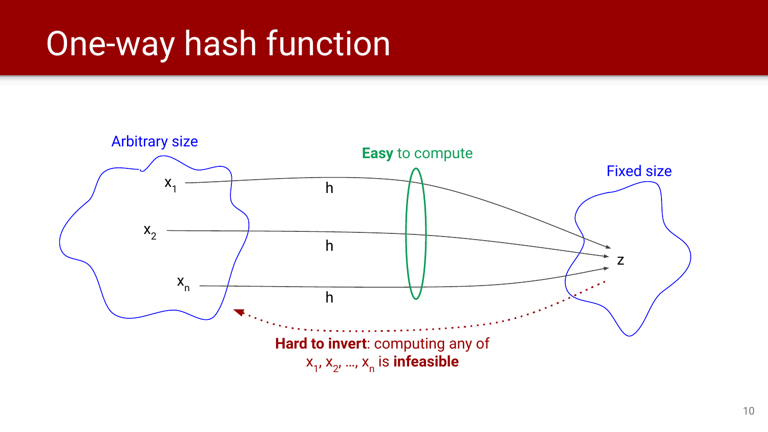#### One-way hash function

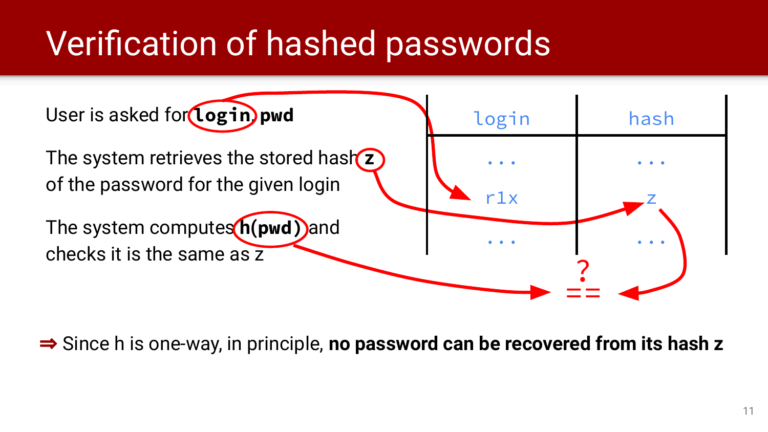### Verification of hashed passwords



⇒ Since h is one-way, in principle, **no password can be recovered from its hash z**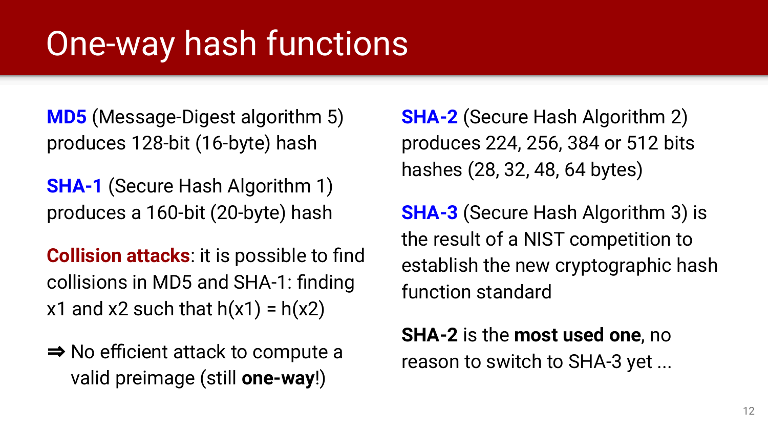#### One-way hash functions

**MD5** (Message-Digest algorithm 5) produces 128-bit (16-byte) hash

**SHA-1** (Secure Hash Algorithm 1) produces a 160-bit (20-byte) hash

**Collision attacks**: it is possible to find collisions in MD5 and SHA-1: finding x1 and x2 such that  $h(x1) = h(x2)$ 

⇒ No efficient attack to compute a valid preimage (still **one-way**!)

**SHA-2** (Secure Hash Algorithm 2) produces 224, 256, 384 or 512 bits hashes (28, 32, 48, 64 bytes)

**SHA-3** (Secure Hash Algorithm 3) is the result of a NIST competition to establish the new cryptographic hash function standard

**SHA-2** is the **most used one**, no reason to switch to SHA-3 yet ...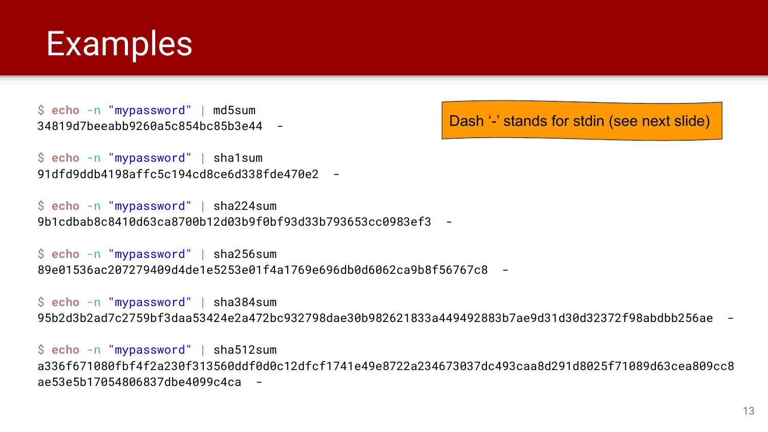

\$ **echo** -n "mypassword" | md5sum 34819d7beeabb9260a5c854bc85b3e44 -

Dash '-' stands for stdin (see next slide)

\$ **echo** -n "mypassword" | sha1sum 91dfd9ddb4198affc5c194cd8ce6d338fde470e2 -

\$ **echo** -n "mypassword" | sha224sum 9b1cdbab8c8410d63ca8700b12d03b9f0bf93d33b793653cc0983ef3 -

\$ **echo** -n "mypassword" | sha256sum 89e01536ac207279409d4de1e5253e01f4a1769e696db0d6062ca9b8f56767c8 -

\$ **echo** -n "mypassword" | sha384sum 95b2d3b2ad7c2759bf3daa53424e2a472bc932798dae30b982621833a449492883b7ae9d31d30d32372f98abdbb256ae -

\$ **echo** -n "mypassword" | sha512sum a336f671080fbf4f2a230f313560ddf0d0c12dfcf1741e49e8722a234673037dc493caa8d291d8025f71089d63cea809cc8 ae53e5b17054806837dbe4099c4ca -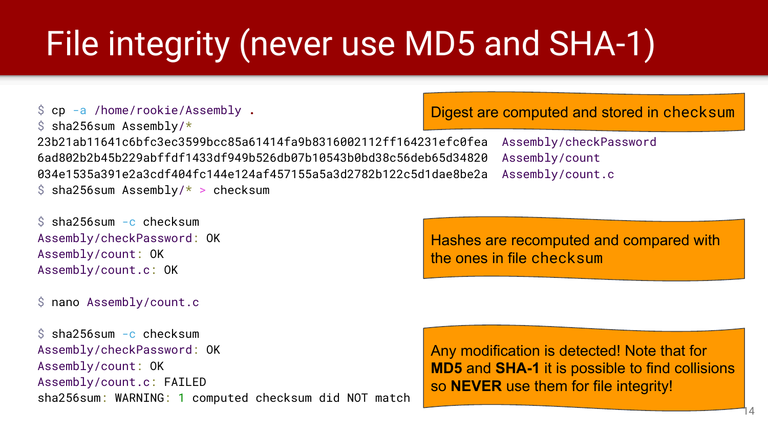### File integrity (never use MD5 and SHA-1)

```
$ cp -a /home/rookie/Assembly .
$ sha256sum Assembly/*23b21ab11641c6bfc3ec3599bcc85a61414fa9b8316002112ff164231efc0fea Assembly/checkPassword
6ad802b2b45b229abffdf1433df949b526db07b10543b0bd38c56deb65d34820 Assembly/count
034e1535a391e2a3cdf404fc144e124af457155a5a3d2782b122c5d1dae8be2a Assembly/count.c
$ sha256sum Assembly/* > checksum
```

```
$ sha256sum -c checksum
Assembly/checkPassword: OK
Assembly/count: OK
Assembly/count.c: OK
```
\$ nano Assembly/count.c

\$ sha256sum -c checksum Assembly/checkPassword: OK Assembly/count: OK Assembly/count.c: FAILED sha256sum: WARNING: 1 computed checksum did NOT match Digest are computed and stored in checksum

Hashes are recomputed and compared with the ones in file checksum

Any modification is detected! Note that for **MD5** and **SHA-1** it is possible to find collisions so **NEVER** use them for file integrity!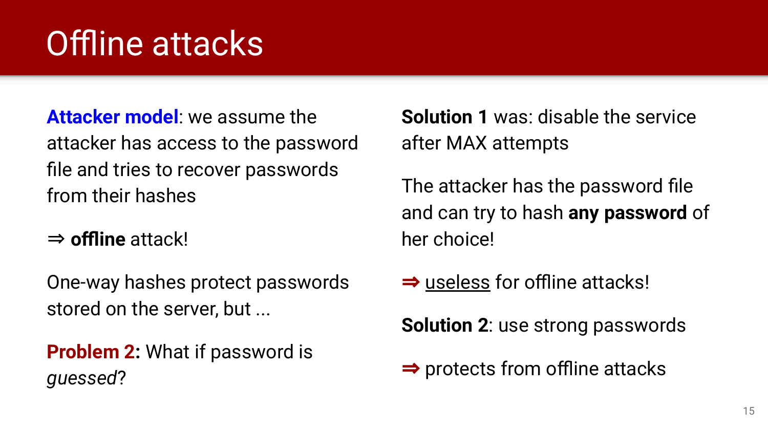### Offline attacks

**Attacker model**: we assume the attacker has access to the password file and tries to recover passwords from their hashes

⇒ **offline** attack!

One-way hashes protect passwords stored on the server, but ...

**Problem 2:** What if password is *guessed*?

**Solution 1** was: disable the service after MAX attempts

The attacker has the password file and can try to hash **any password** of her choice!

⇒ useless for offline attacks!

**Solution 2**: use strong passwords

⇒ protects from offline attacks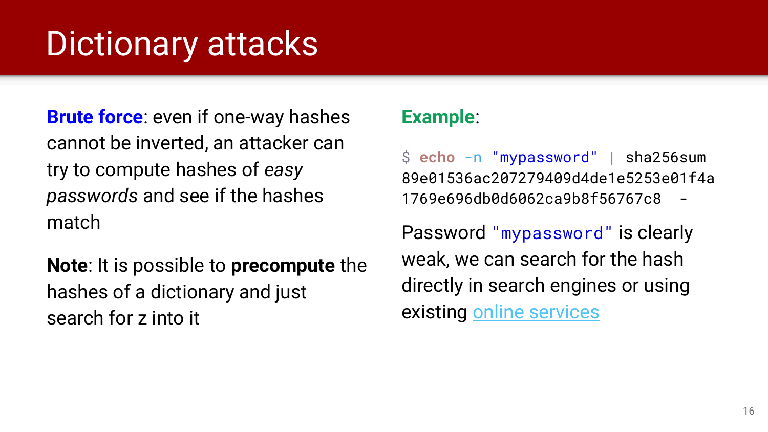#### Dictionary attacks

**Brute force**: even if one-way hashes cannot be inverted, an attacker can try to compute hashes of *easy passwords* and see if the hashes match

**Note**: It is possible to **precompute** the hashes of a dictionary and just search for z into it

#### **Example**:

\$ **echo** -n "mypassword" | sha256sum 89e01536ac207279409d4de1e5253e01f4a 1769e696db0d6062ca9b8f56767c8 -

Password "mypassword" is clearly weak, we can search for the hash directly in search engines or using existing [online services](https://md5decrypt.net/en/Sha256/)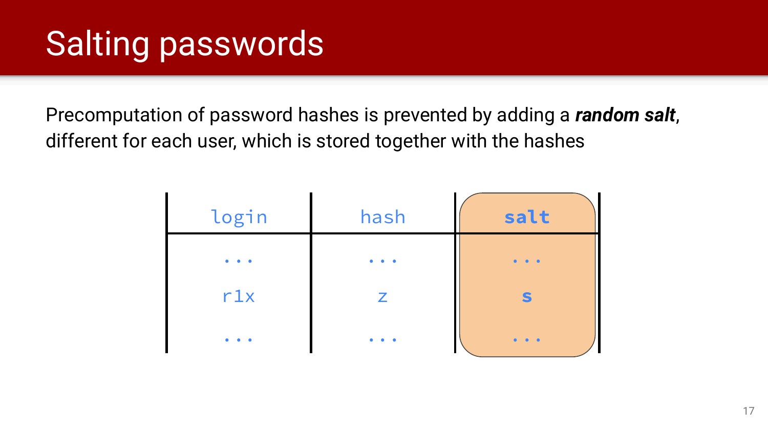### Salting passwords

Precomputation of password hashes is prevented by adding a *random salt*, different for each user, which is stored together with the hashes

| login | hash | salt |
|-------|------|------|
|       |      |      |
| r1x   | Z    |      |
|       |      |      |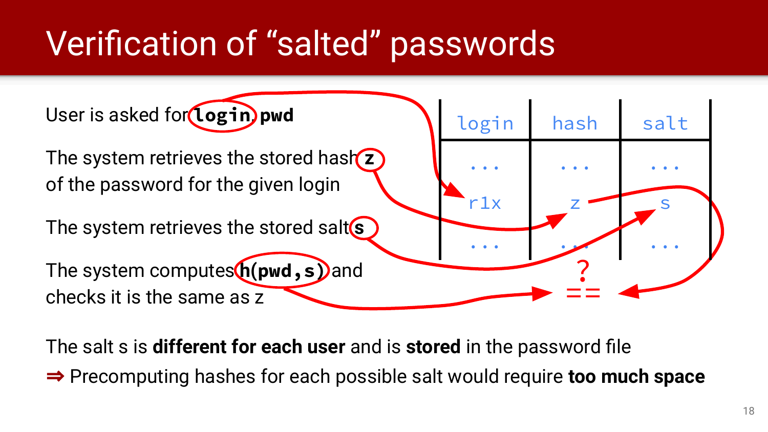### Verification of "salted" passwords



The salt s is **different for each user** and is **stored** in the password file

⇒ Precomputing hashes for each possible salt would require **too much space**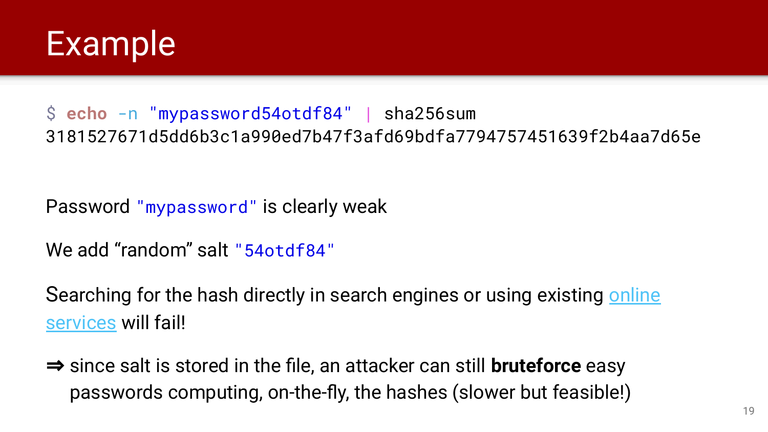

#### \$ **echo** -n "mypassword54otdf84" | sha256sum 3181527671d5dd6b3c1a990ed7b47f3afd69bdfa7794757451639f2b4aa7d65e

Password "mypassword" is clearly weak

We add "random" salt "54otdf84"

Searching for the hash directly in search engines or using existing [online](https://md5decrypt.net/en/Sha256/) [services](https://md5decrypt.net/en/Sha256/) will fail!

⇒ since salt is stored in the file, an attacker can still **bruteforce** easy passwords computing, on-the-fly, the hashes (slower but feasible!)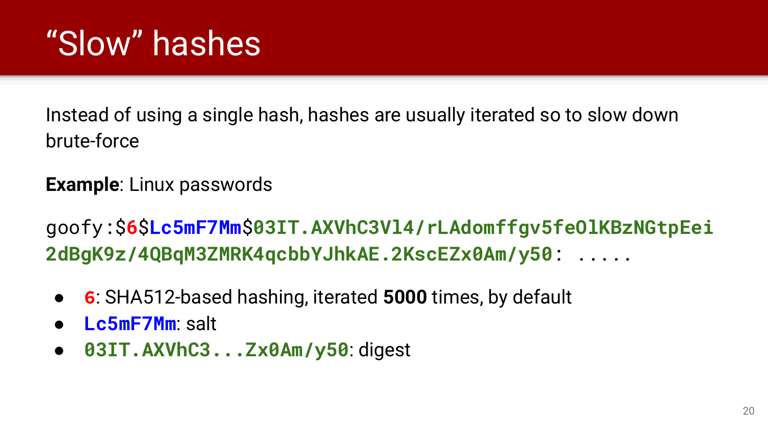### "Slow" hashes

Instead of using a single hash, hashes are usually iterated so to slow down brute-force

#### **Example**: Linux passwords

goofy:\$**6**\$**Lc5mF7Mm**\$**03IT.AXVhC3Vl4/rLAdomffgv5feOlKBzNGtpEei 2dBgK9z/4QBqM3ZMRK4qcbbYJhkAE.2KscEZx0Am/y50**: .....

- **6**: SHA512-based hashing, iterated **5000** times, by default
- **Lc5mF7Mm**: salt
- **03IT.AXVhC3...Zx0Am/y50**: digest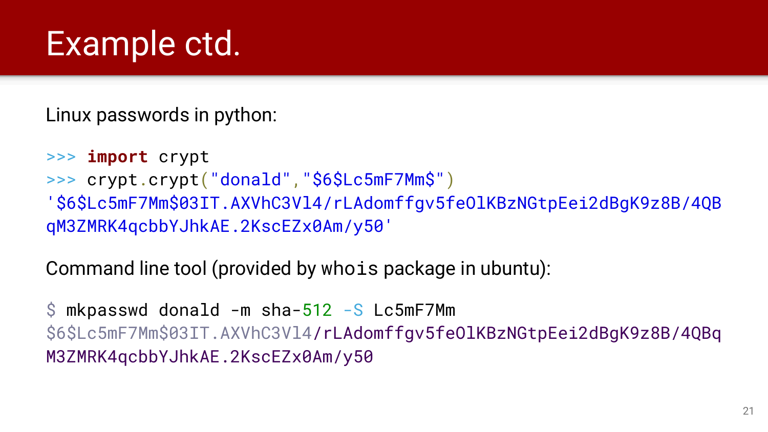#### Example ctd.

Linux passwords in python:

```
>>> import crypt
>>> crypt.crypt("donald","$6$Lc5mF7Mm$")
'$6$Lc5mF7Mm$03IT.AXVhC3Vl4/rLAdomffgv5feOlKBzNGtpEei2dBgK9z8B/4QB
qM3ZMRK4qcbbYJhkAE.2KscEZx0Am/y50'
```
Command line tool (provided by whois package in ubuntu):

 $\sin$  mkpasswd donald -m sha-512 -S Lc5mF7Mm \$6\$Lc5mF7Mm\$03IT.AXVhC3Vl4/rLAdomffgv5feOlKBzNGtpEei2dBgK9z8B/4QBq M3ZMRK4qcbbYJhkAE.2KscEZx0Am/y50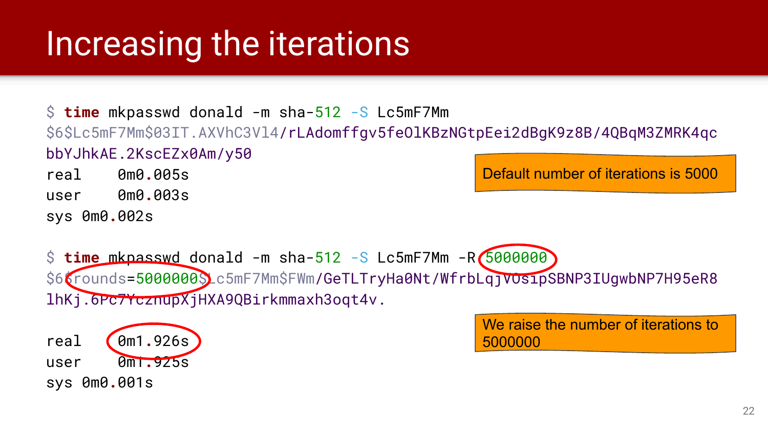#### Increasing the iterations

\$ **time** mkpasswd donald -m sha-512 -S Lc5mF7Mm \$6\$Lc5mF7Mm\$03IT.AXVhC3Vl4/rLAdomffgv5feOlKBzNGtpEei2dBgK9z8B/4QBqM3ZMRK4qc bbYJhkAE.2KscEZx0Am/y50

real 0m0**.**005s user 0m0**.**003s

sys 0m0**.**002s

Default number of iterations is 5000

\$ **time** mkpasswd donald -m sha-512 -S Lc5mF7Mm -R 5000000 \$66rounds=5000000\$Lc5mF7Mm\$FWm/GeTLTryHa0Nt/WfrbLqjVOsipSBNP3IUgwbNP7H95eR8 lhKj.6Pc7YcznupXjHXA9QBirkmmaxh3oqt4v.

real 0m1**.**926s user 0m1**.**925s sys 0m0**.**001s

We raise the number of iterations to 5000000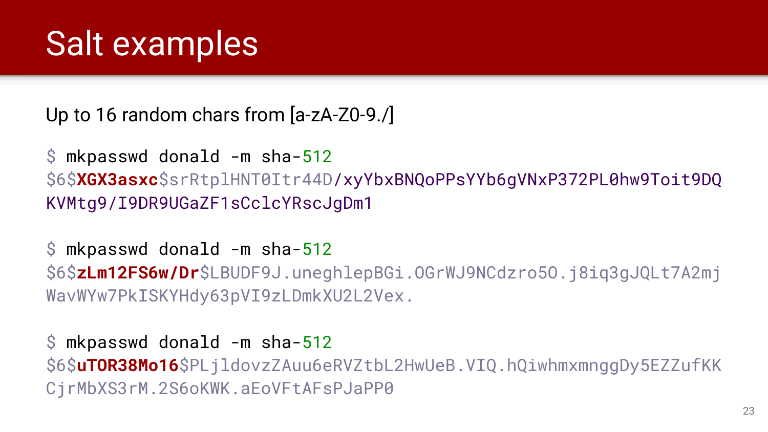#### Salt examples

Up to 16 random chars from [a-zA-Z0-9./]

\$ mkpasswd donald -m sha-512 \$6\$**XGX3asxc**\$srRtplHNT0Itr44D/xyYbxBNQoPPsYYb6gVNxP372PL0hw9Toit9DQ KVMtg9/I9DR9UGaZF1sCclcYRscJgDm1

\$ mkpasswd donald -m sha-512 \$6\$**zLm12FS6w/Dr**\$LBUDF9J.uneghlepBGi.OGrWJ9NCdzro5O.j8iq3gJQLt7A2mj WavWYw7PkISKYHdy63pVI9zLDmkXU2L2Vex.

\$ mkpasswd donald -m sha-512 \$6\$**uTOR38Mo16**\$PLjldovzZAuu6eRVZtbL2HwUeB.VIQ.hQiwhmxmnggDy5EZZufKK CjrMbXS3rM.2S6oKWK.aEoVFtAFsPJaPP0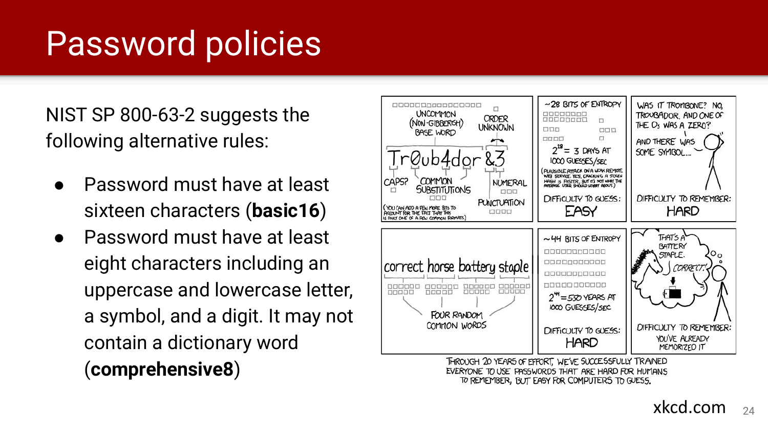#### Password policies

NIST SP 800-63-2 suggests the following alternative rules:

- **Password must have at least** sixteen characters (**basic16** )
- Password must have at least eight characters including an uppercase and lowercase letter, a symbol, and a digit. It may not contain a dictionary word (**comprehensive8**)



TO REMEMBER, BUT EASY FOR COMPUTERS TO GUESS.

xkcd.com 24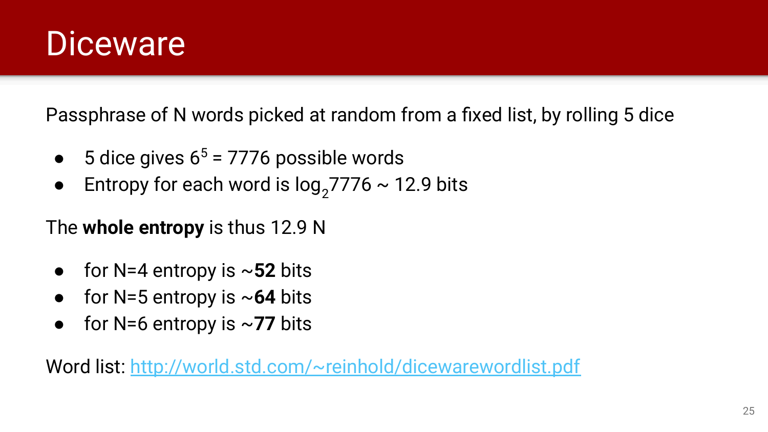#### **Diceware**

Passphrase of N words picked at random from a fixed list, by rolling 5 dice

- $\bullet$  5 dice gives 6<sup>5</sup> = 7776 possible words
- Entropy for each word is  $log_2$ 7776 ~ 12.9 bits

The **whole entropy** is thus 12.9 N

- for  $N=4$  entropy is  $\sim$ **52** bits
- for N=5 entropy is ~**64** bits
- for  $N=6$  entropy is  $\sim$ **77** bits

Word list:<http://world.std.com/~reinhold/dicewarewordlist.pdf>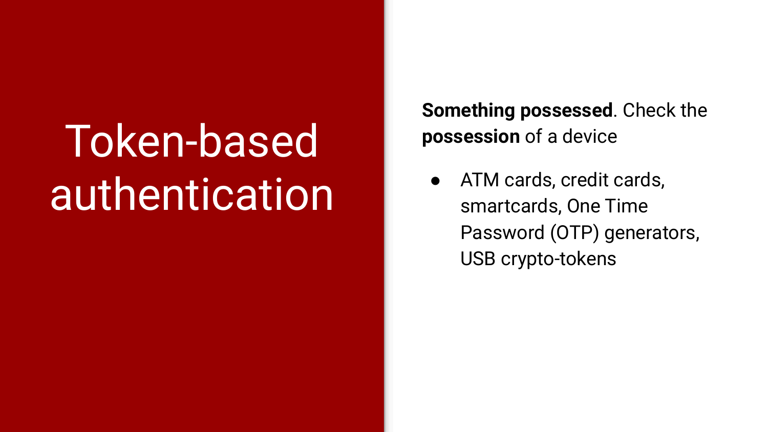## Token-based authentication

**Something possessed**. Check the **possession** of a device

ATM cards, credit cards, smartcards, One Time Password (OTP) generators, USB crypto-tokens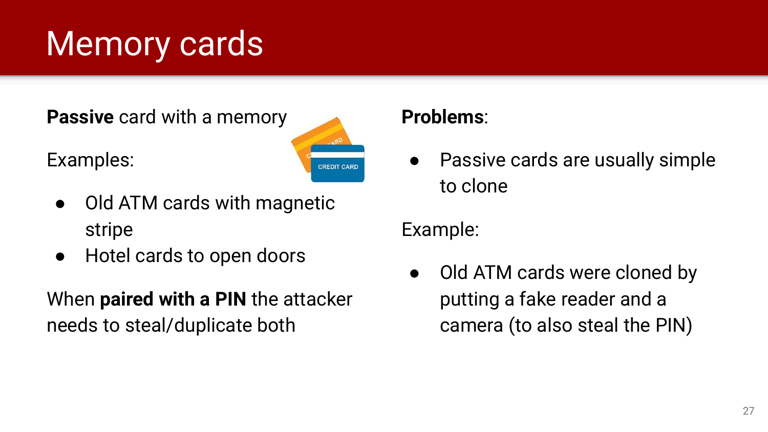### Memory cards

**Passive** card with a memory





- Old ATM cards with magnetic stripe
- Hotel cards to open doors

When **paired with a PIN** the attacker needs to steal/duplicate both

#### **Problems**:

● Passive cards are usually simple to clone

Example:

• Old ATM cards were cloned by putting a fake reader and a camera (to also steal the PIN)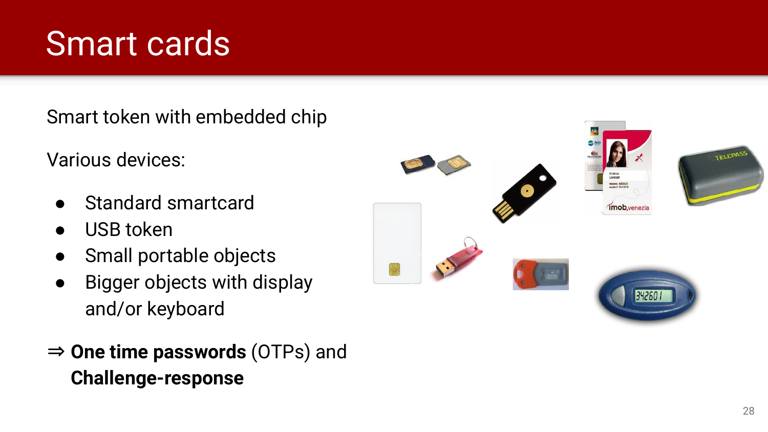#### Smart cards

Smart token with embedded chip

Various devices:

- Standard smartcard
- USB token
- Small portable objects
- Bigger objects with display and/or keyboard
- ⇒ **One time passwords** (OTPs) and **Challenge-response**

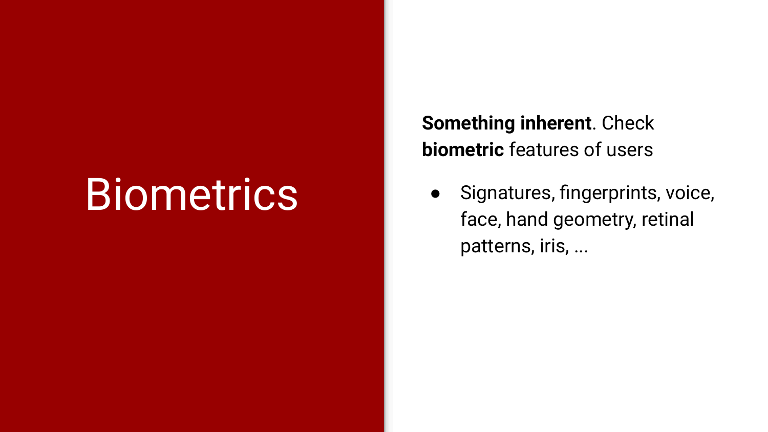## **Biometrics**

**Something inherent**. Check **biometric** features of users

● Signatures, fingerprints, voice, face, hand geometry, retinal patterns, iris, ...